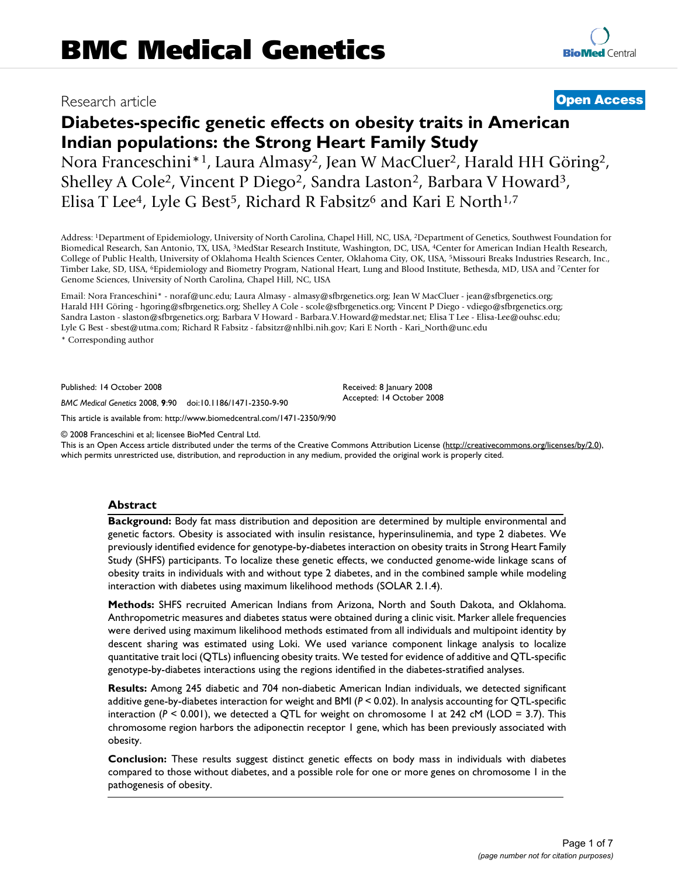## Research article **[Open Access](http://www.biomedcentral.com/info/about/charter/)**

# **Diabetes-specific genetic effects on obesity traits in American Indian populations: the Strong Heart Family Study**

Nora Franceschini\*<sup>1</sup>, Laura Almasy<sup>2</sup>, Jean W MacCluer<sup>2</sup>, Harald HH Göring<sup>2</sup>, Shelley A Cole<sup>2</sup>, Vincent P Diego<sup>2</sup>, Sandra Laston<sup>2</sup>, Barbara V Howard<sup>3</sup>, Elisa T Lee<sup>4</sup>, Lyle G Best<sup>5</sup>, Richard R Fabsitz<sup>6</sup> and Kari E North<sup>1,7</sup>

Address: 1Department of Epidemiology, University of North Carolina, Chapel Hill, NC, USA, 2Department of Genetics, Southwest Foundation for Biomedical Research, San Antonio, TX, USA, 3MedStar Research Institute, Washington, DC, USA, 4Center for American Indian Health Research, College of Public Health, University of Oklahoma Health Sciences Center, Oklahoma City, OK, USA, 5Missouri Breaks Industries Research, Inc., Timber Lake, SD, USA, 6Epidemiology and Biometry Program, National Heart, Lung and Blood Institute, Bethesda, MD, USA and 7Center for Genome Sciences, University of North Carolina, Chapel Hill, NC, USA

Email: Nora Franceschini\* - noraf@unc.edu; Laura Almasy - almasy@sfbrgenetics.org; Jean W MacCluer - jean@sfbrgenetics.org; Harald HH Göring - hgoring@sfbrgenetics.org; Shelley A Cole - scole@sfbrgenetics.org; Vincent P Diego - vdiego@sfbrgenetics.org; Sandra Laston - slaston@sfbrgenetics.org; Barbara V Howard - Barbara.V.Howard@medstar.net; Elisa T Lee - Elisa-Lee@ouhsc.edu; Lyle G Best - sbest@utma.com; Richard R Fabsitz - fabsitzr@nhlbi.nih.gov; Kari E North - Kari\_North@unc.edu

\* Corresponding author

Published: 14 October 2008

*BMC Medical Genetics* 2008, **9**:90 doi:10.1186/1471-2350-9-90

[This article is available from: http://www.biomedcentral.com/1471-2350/9/90](http://www.biomedcentral.com/1471-2350/9/90)

© 2008 Franceschini et al; licensee BioMed Central Ltd.

This is an Open Access article distributed under the terms of the Creative Commons Attribution License [\(http://creativecommons.org/licenses/by/2.0\)](http://creativecommons.org/licenses/by/2.0), which permits unrestricted use, distribution, and reproduction in any medium, provided the original work is properly cited.

Received: 8 January 2008 Accepted: 14 October 2008

### **Abstract**

**Background:** Body fat mass distribution and deposition are determined by multiple environmental and genetic factors. Obesity is associated with insulin resistance, hyperinsulinemia, and type 2 diabetes. We previously identified evidence for genotype-by-diabetes interaction on obesity traits in Strong Heart Family Study (SHFS) participants. To localize these genetic effects, we conducted genome-wide linkage scans of obesity traits in individuals with and without type 2 diabetes, and in the combined sample while modeling interaction with diabetes using maximum likelihood methods (SOLAR 2.1.4).

**Methods:** SHFS recruited American Indians from Arizona, North and South Dakota, and Oklahoma. Anthropometric measures and diabetes status were obtained during a clinic visit. Marker allele frequencies were derived using maximum likelihood methods estimated from all individuals and multipoint identity by descent sharing was estimated using Loki. We used variance component linkage analysis to localize quantitative trait loci (QTLs) influencing obesity traits. We tested for evidence of additive and QTL-specific genotype-by-diabetes interactions using the regions identified in the diabetes-stratified analyses.

**Results:** Among 245 diabetic and 704 non-diabetic American Indian individuals, we detected significant additive gene-by-diabetes interaction for weight and BMI (*P* < 0.02). In analysis accounting for QTL-specific interaction  $(P < 0.001)$ , we detected a QTL for weight on chromosome 1 at 242 cM (LOD = 3.7). This chromosome region harbors the adiponectin receptor 1 gene, which has been previously associated with obesity.

**Conclusion:** These results suggest distinct genetic effects on body mass in individuals with diabetes compared to those without diabetes, and a possible role for one or more genes on chromosome 1 in the pathogenesis of obesity.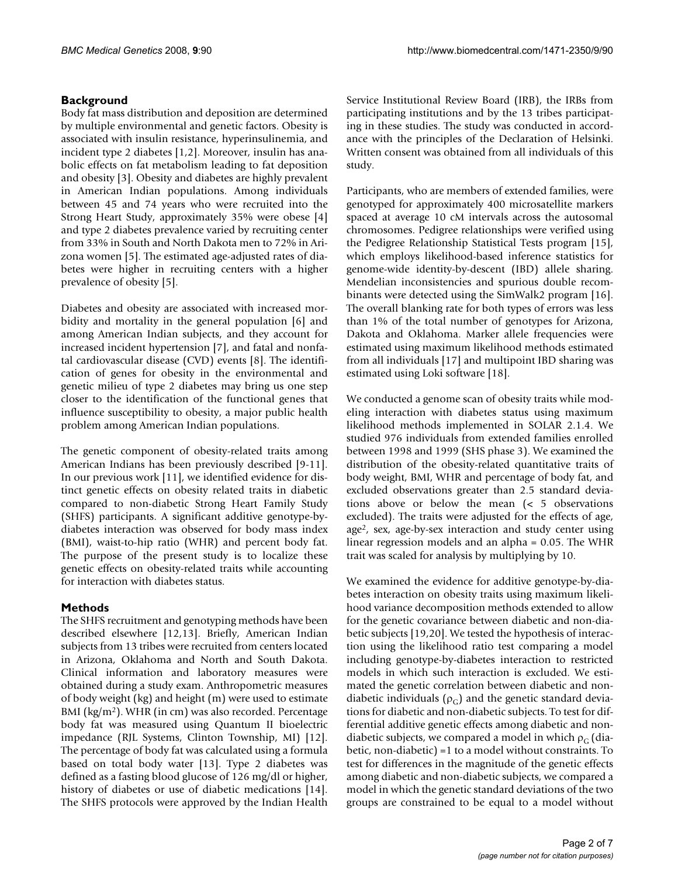### **Background**

Body fat mass distribution and deposition are determined by multiple environmental and genetic factors. Obesity is associated with insulin resistance, hyperinsulinemia, and incident type 2 diabetes [1,2]. Moreover, insulin has anabolic effects on fat metabolism leading to fat deposition and obesity [3]. Obesity and diabetes are highly prevalent in American Indian populations. Among individuals between 45 and 74 years who were recruited into the Strong Heart Study, approximately 35% were obese [4] and type 2 diabetes prevalence varied by recruiting center from 33% in South and North Dakota men to 72% in Arizona women [5]. The estimated age-adjusted rates of diabetes were higher in recruiting centers with a higher prevalence of obesity [5].

Diabetes and obesity are associated with increased morbidity and mortality in the general population [6] and among American Indian subjects, and they account for increased incident hypertension [7], and fatal and nonfatal cardiovascular disease (CVD) events [8]. The identification of genes for obesity in the environmental and genetic milieu of type 2 diabetes may bring us one step closer to the identification of the functional genes that influence susceptibility to obesity, a major public health problem among American Indian populations.

The genetic component of obesity-related traits among American Indians has been previously described [9-11]. In our previous work [11], we identified evidence for distinct genetic effects on obesity related traits in diabetic compared to non-diabetic Strong Heart Family Study (SHFS) participants. A significant additive genotype-bydiabetes interaction was observed for body mass index (BMI), waist-to-hip ratio (WHR) and percent body fat. The purpose of the present study is to localize these genetic effects on obesity-related traits while accounting for interaction with diabetes status.

### **Methods**

The SHFS recruitment and genotyping methods have been described elsewhere [12,13]. Briefly, American Indian subjects from 13 tribes were recruited from centers located in Arizona, Oklahoma and North and South Dakota. Clinical information and laboratory measures were obtained during a study exam. Anthropometric measures of body weight (kg) and height (m) were used to estimate BMI (kg/m<sup>2</sup>). WHR (in cm) was also recorded. Percentage body fat was measured using Quantum II bioelectric impedance (RJL Systems, Clinton Township, MI) [12]. The percentage of body fat was calculated using a formula based on total body water [13]. Type 2 diabetes was defined as a fasting blood glucose of 126 mg/dl or higher, history of diabetes or use of diabetic medications [\[14](#page-5-0)]. The SHFS protocols were approved by the Indian Health

Service Institutional Review Board (IRB), the IRBs from participating institutions and by the 13 tribes participating in these studies. The study was conducted in accordance with the principles of the Declaration of Helsinki. Written consent was obtained from all individuals of this study.

Participants, who are members of extended families, were genotyped for approximately 400 microsatellite markers spaced at average 10 cM intervals across the autosomal chromosomes. Pedigree relationships were verified using the Pedigree Relationship Statistical Tests program [15], which employs likelihood-based inference statistics for genome-wide identity-by-descent (IBD) allele sharing. Mendelian inconsistencies and spurious double recombinants were detected using the SimWalk2 program [16]. The overall blanking rate for both types of errors was less than 1% of the total number of genotypes for Arizona, Dakota and Oklahoma. Marker allele frequencies were estimated using maximum likelihood methods estimated from all individuals [17] and multipoint IBD sharing was estimated using Loki software [18].

We conducted a genome scan of obesity traits while modeling interaction with diabetes status using maximum likelihood methods implemented in SOLAR 2.1.4. We studied 976 individuals from extended families enrolled between 1998 and 1999 (SHS phase 3). We examined the distribution of the obesity-related quantitative traits of body weight, BMI, WHR and percentage of body fat, and excluded observations greater than 2.5 standard deviations above or below the mean (< 5 observations excluded). The traits were adjusted for the effects of age, age2, sex, age-by-sex interaction and study center using linear regression models and an alpha = 0.05. The WHR trait was scaled for analysis by multiplying by 10.

We examined the evidence for additive genotype-by-diabetes interaction on obesity traits using maximum likelihood variance decomposition methods extended to allow for the genetic covariance between diabetic and non-diabetic subjects [19,20]. We tested the hypothesis of interaction using the likelihood ratio test comparing a model including genotype-by-diabetes interaction to restricted models in which such interaction is excluded. We estimated the genetic correlation between diabetic and nondiabetic individuals ( $\rho_{\rm G}$ ) and the genetic standard deviations for diabetic and non-diabetic subjects. To test for differential additive genetic effects among diabetic and nondiabetic subjects, we compared a model in which  $\rho_{\rm C}$  (diabetic, non-diabetic) =1 to a model without constraints. To test for differences in the magnitude of the genetic effects among diabetic and non-diabetic subjects, we compared a model in which the genetic standard deviations of the two groups are constrained to be equal to a model without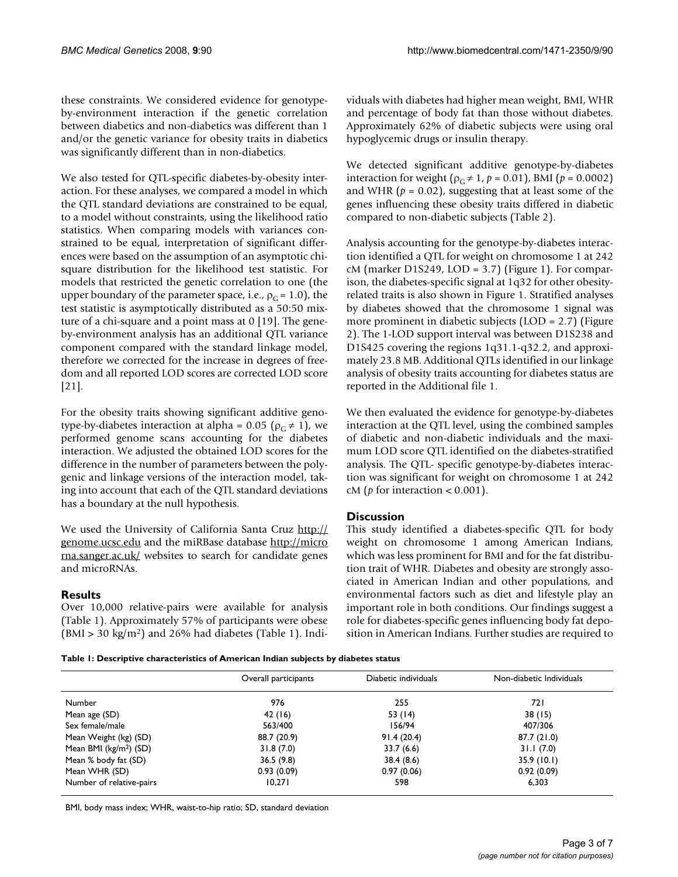these constraints. We considered evidence for genotypeby-environment interaction if the genetic correlation between diabetics and non-diabetics was different than 1 and/or the genetic variance for obesity traits in diabetics was significantly different than in non-diabetics.

We also tested for QTL-specific diabetes-by-obesity interaction. For these analyses, we compared a model in which the QTL standard deviations are constrained to be equal, to a model without constraints, using the likelihood ratio statistics. When comparing models with variances constrained to be equal, interpretation of significant differences were based on the assumption of an asymptotic chisquare distribution for the likelihood test statistic. For models that restricted the genetic correlation to one (the upper boundary of the parameter space, i.e.,  $\rho_G = 1.0$ ), the test statistic is asymptotically distributed as a 50:50 mixture of a chi-square and a point mass at 0 [19]. The geneby-environment analysis has an additional QTL variance component compared with the standard linkage model, therefore we corrected for the increase in degrees of freedom and all reported LOD scores are corrected LOD score [21].

For the obesity traits showing significant additive genotype-by-diabetes interaction at alpha = 0.05 ( $\rho$ <sub>G</sub>  $\neq$  1), we performed genome scans accounting for the diabetes interaction. We adjusted the obtained LOD scores for the difference in the number of parameters between the polygenic and linkage versions of the interaction model, taking into account that each of the QTL standard deviations has a boundary at the null hypothesis.

We used the University of California Santa Cruz [http://](http://genome.ucsc.edu) [genome.ucsc.edu](http://genome.ucsc.edu) and the miRBase database [http://micro](http://microrna.sanger.ac.uk/) [rna.sanger.ac.uk/](http://microrna.sanger.ac.uk/) websites to search for candidate genes and microRNAs.

### **Results**

Over 10,000 relative-pairs were available for analysis (Table 1). Approximately 57% of participants were obese  $(BMI > 30 \text{ kg/m}^2)$  and 26% had diabetes (Table 1). Individuals with diabetes had higher mean weight, BMI, WHR and percentage of body fat than those without diabetes. Approximately 62% of diabetic subjects were using oral hypoglycemic drugs or insulin therapy.

We detected significant additive genotype-by-diabetes interaction for weight ( $\rho$ <sub>C</sub>  $\neq$  1,  $p$  = 0.01), BMI ( $p$  = 0.0002) and WHR  $(p = 0.02)$ , suggesting that at least some of the genes influencing these obesity traits differed in diabetic compared to non-diabetic subjects (Table 2).

Analysis accounting for the genotype-by-diabetes interaction identified a QTL for weight on chromosome 1 at 242 cM (marker D1S249, LOD = 3.7) (Figure 1). For comparison, the diabetes-specific signal at 1q32 for other obesityrelated traits is also shown in Figure 1. Stratified analyses by diabetes showed that the chromosome 1 signal was more prominent in diabetic subjects (LOD = 2.7) (Figure 2). The 1-LOD support interval was between D1S238 and D1S425 covering the regions 1q31.1-q32.2, and approximately 23.8 MB. Additional QTLs identified in our linkage analysis of obesity traits accounting for diabetes status are reported in the Additional file 1.

We then evaluated the evidence for genotype-by-diabetes interaction at the QTL level, using the combined samples of diabetic and non-diabetic individuals and the maximum LOD score QTL identified on the diabetes-stratified analysis. The QTL- specific genotype-by-diabetes interaction was significant for weight on chromosome 1 at 242 cM (*p* for interaction < 0.001).

### **Discussion**

This study identified a diabetes-specific QTL for body weight on chromosome 1 among American Indians, which was less prominent for BMI and for the fat distribution trait of WHR. Diabetes and obesity are strongly associated in American Indian and other populations, and environmental factors such as diet and lifestyle play an important role in both conditions. Our findings suggest a role for diabetes-specific genes influencing body fat deposition in American Indians. Further studies are required to

**Table 1: Descriptive characteristics of American Indian subjects by diabetes status**

|                                    | Overall participants | Diabetic individuals | Non-diabetic Individuals |  |
|------------------------------------|----------------------|----------------------|--------------------------|--|
| Number                             | 976                  | 255                  | 721                      |  |
| Mean age (SD)                      | 42(16)               | 53 (14)              | 38(15)                   |  |
| Sex female/male                    | 563/400              | 156/94               | 407/306                  |  |
| Mean Weight (kg) (SD)              | 88.7 (20.9)          | 91.4(20.4)           | 87.7(21.0)               |  |
| Mean BMI (kg/m <sup>2</sup> ) (SD) | 31.8(7.0)            | 33.7(6.6)            | 31.1(7.0)                |  |
| Mean % body fat (SD)               | 36.5(9.8)            | 38.4(8.6)            | 35.9(10.1)               |  |
| Mean WHR (SD)                      | 0.93(0.09)           | 0.97(0.06)           | 0.92(0.09)               |  |
| Number of relative-pairs           | 10,271               | 598                  | 6.303                    |  |

BMI, body mass index; WHR, waist-to-hip ratio; SD, standard deviation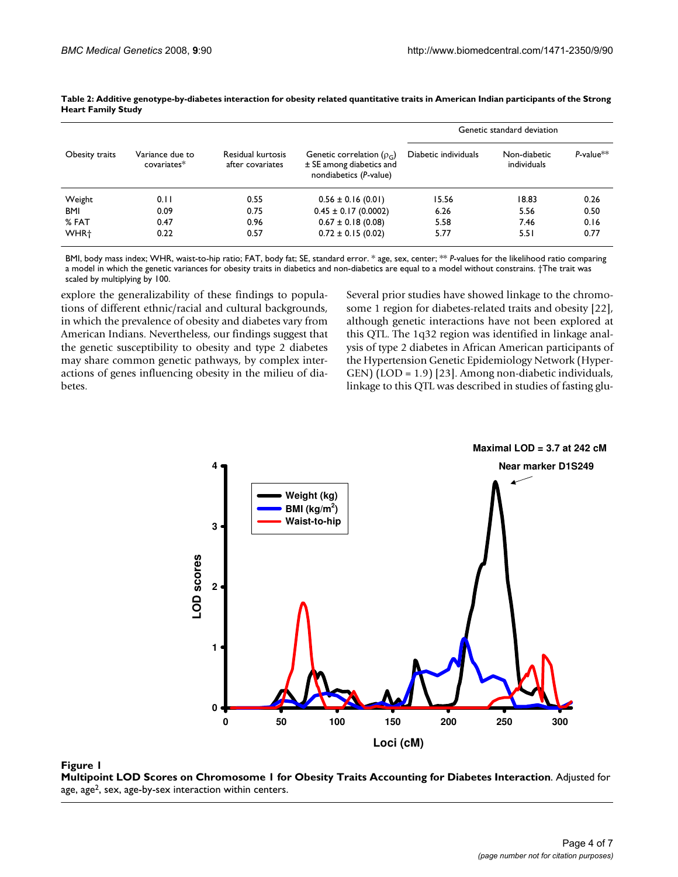| Obesity traits   | Variance due to<br>covariates* | Residual kurtosis<br>after covariates | Genetic correlation ( $\rho_c$ )<br>± SE among diabetics and<br>nondiabetics (P-value) | Genetic standard deviation |                             |                 |
|------------------|--------------------------------|---------------------------------------|----------------------------------------------------------------------------------------|----------------------------|-----------------------------|-----------------|
|                  |                                |                                       |                                                                                        | Diabetic individuals       | Non-diabetic<br>individuals | $P$ -value $**$ |
| Weight           | 0.11                           | 0.55                                  | $0.56 \pm 0.16$ (0.01)                                                                 | 15.56                      | 18.83                       | 0.26            |
| <b>BMI</b>       | 0.09                           | 0.75                                  | $0.45 \pm 0.17$ (0.0002)                                                               | 6.26                       | 5.56                        | 0.50            |
| % FAT            | 0.47                           | 0.96                                  | $0.67 \pm 0.18$ (0.08)                                                                 | 5.58                       | 7.46                        | 0.16            |
| WHR <sup>+</sup> | 0.22                           | 0.57                                  | $0.72 \pm 0.15$ (0.02)                                                                 | 5.77                       | 5.51                        | 0.77            |

**Table 2: Additive genotype-by-diabetes interaction for obesity related quantitative traits in American Indian participants of the Strong Heart Family Study**

BMI, body mass index; WHR, waist-to-hip ratio; FAT, body fat; SE, standard error. \* age, sex, center; \*\* *P*-values for the likelihood ratio comparing a model in which the genetic variances for obesity traits in diabetics and non-diabetics are equal to a model without constrains. †The trait was scaled by multiplying by 100.

explore the generalizability of these findings to populations of different ethnic/racial and cultural backgrounds, in which the prevalence of obesity and diabetes vary from American Indians. Nevertheless, our findings suggest that the genetic susceptibility to obesity and type 2 diabetes may share common genetic pathways, by complex interactions of genes influencing obesity in the milieu of diabetes.

Several prior studies have showed linkage to the chromosome 1 region for diabetes-related traits and obesity [22], although genetic interactions have not been explored at this QTL. The 1q32 region was identified in linkage analysis of type 2 diabetes in African American participants of the Hypertension Genetic Epidemiology Network (Hyper-GEN) (LOD = 1.9) [23]. Among non-diabetic individuals, linkage to this QTL was described in studies of fasting glu-



**Multipoint LOD Scores on Chromosome 1 for Obesity Traits Accounting for Diabetes Interaction**. Adjusted for age, age<sup>2</sup>, sex, age-by-sex interaction within centers.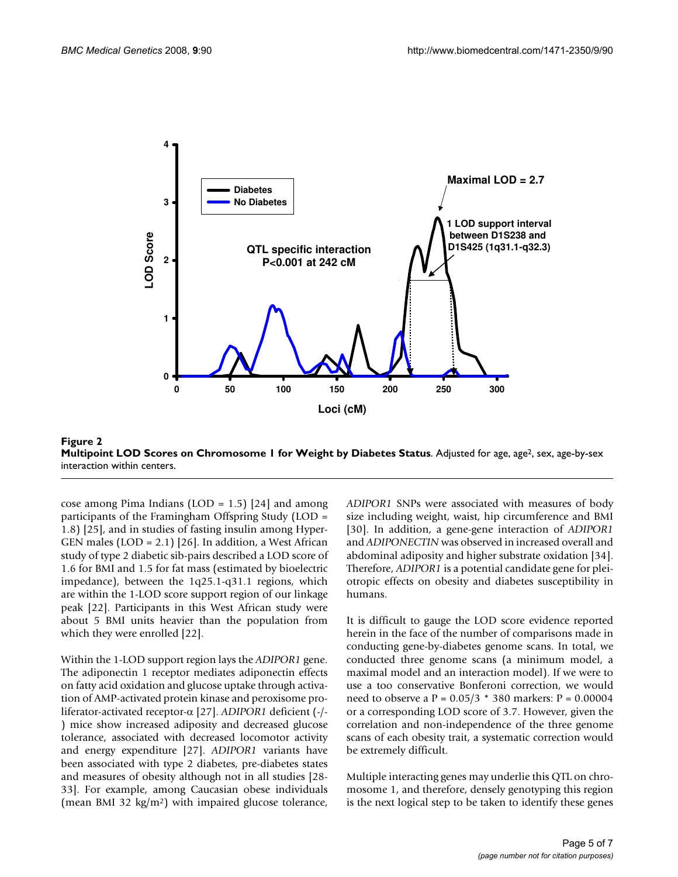

**Figure 2 Multipoint LOD Scores on Chromosome 1 for Weight by Diabetes Status**. Adjusted for age, age<sup>2</sup>, sex, age-by-sex interaction within centers.

cose among Pima Indians (LOD =  $1.5$ ) [24] and among participants of the Framingham Offspring Study (LOD = 1.8) [25], and in studies of fasting insulin among Hyper-GEN males  $(LOD = 2.1)$  [26]. In addition, a West African study of type 2 diabetic sib-pairs described a LOD score of 1.6 for BMI and 1.5 for fat mass (estimated by bioelectric impedance), between the 1q25.1-q31.1 regions, which are within the 1-LOD score support region of our linkage peak [22]. Participants in this West African study were about 5 BMI units heavier than the population from which they were enrolled [22].

Within the 1-LOD support region lays the *ADIPOR1* gene. The adiponectin 1 receptor mediates adiponectin effects on fatty acid oxidation and glucose uptake through activation of AMP-activated protein kinase and peroxisome proliferator-activated receptor-α [27]. *ADIPOR1* deficient (-/- ) mice show increased adiposity and decreased glucose tolerance, associated with decreased locomotor activity and energy expenditure [27]. *ADIPOR1* variants have been associated with type 2 diabetes, pre-diabetes states and measures of obesity although not in all studies [28- 33]. For example, among Caucasian obese individuals (mean BMI 32 kg/m2) with impaired glucose tolerance,

*ADIPOR1* SNPs were associated with measures of body size including weight, waist, hip circumference and BMI [30]. In addition, a gene-gene interaction of *ADIPOR1* and *ADIPONECTIN* was observed in increased overall and abdominal adiposity and higher substrate oxidation [34]. Therefore, *ADIPOR1* is a potential candidate gene for pleiotropic effects on obesity and diabetes susceptibility in humans.

It is difficult to gauge the LOD score evidence reported herein in the face of the number of comparisons made in conducting gene-by-diabetes genome scans. In total, we conducted three genome scans (a minimum model, a maximal model and an interaction model). If we were to use a too conservative Bonferoni correction, we would need to observe a P = 0.05/3 \* 380 markers: P = 0.00004 or a corresponding LOD score of 3.7. However, given the correlation and non-independence of the three genome scans of each obesity trait, a systematic correction would be extremely difficult.

Multiple interacting genes may underlie this QTL on chromosome 1, and therefore, densely genotyping this region is the next logical step to be taken to identify these genes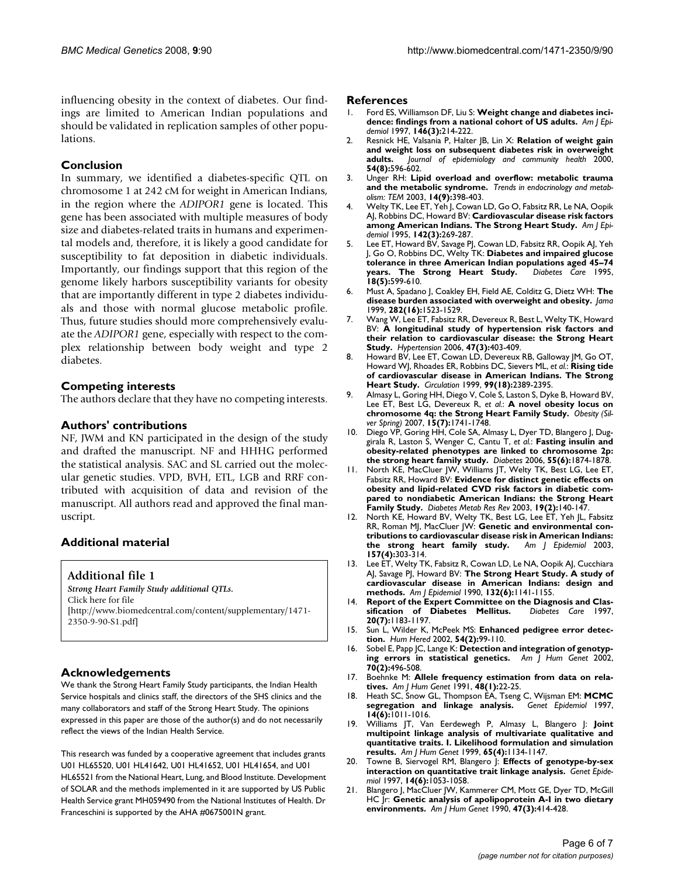influencing obesity in the context of diabetes. Our findings are limited to American Indian populations and should be validated in replication samples of other populations.

### **Conclusion**

In summary, we identified a diabetes-specific QTL on chromosome 1 at 242 cM for weight in American Indians, in the region where the *ADIPOR1* gene is located. This gene has been associated with multiple measures of body size and diabetes-related traits in humans and experimental models and, therefore, it is likely a good candidate for susceptibility to fat deposition in diabetic individuals. Importantly, our findings support that this region of the genome likely harbors susceptibility variants for obesity that are importantly different in type 2 diabetes individuals and those with normal glucose metabolic profile. Thus, future studies should more comprehensively evaluate the *ADIPOR1* gene, especially with respect to the complex relationship between body weight and type 2 diabetes.

### **Competing interests**

The authors declare that they have no competing interests.

### **Authors' contributions**

NF, JWM and KN participated in the design of the study and drafted the manuscript. NF and HHHG performed the statistical analysis. SAC and SL carried out the molecular genetic studies. VPD, BVH, ETL, LGB and RRF contributed with acquisition of data and revision of the manuscript. All authors read and approved the final manuscript.

### **Additional material**

**Additional file 1**

*Strong Heart Family Study additional QTLs.* Click here for file [\[http://www.biomedcentral.com/content/supplementary/1471-](http://www.biomedcentral.com/content/supplementary/1471-2350-9-90-S1.pdf) 2350-9-90-S1.pdf]

### **Acknowledgements**

We thank the Strong Heart Family Study participants, the Indian Health Service hospitals and clinics staff, the directors of the SHS clinics and the many collaborators and staff of the Strong Heart Study. The opinions expressed in this paper are those of the author(s) and do not necessarily reflect the views of the Indian Health Service.

This research was funded by a cooperative agreement that includes grants U01 HL65520, U01 HL41642, U01 HL41652, U01 HL41654, and U01 HL65521 from the National Heart, Lung, and Blood Institute. Development of SOLAR and the methods implemented in it are supported by US Public Health Service grant MH059490 from the National Institutes of Health. Dr Franceschini is supported by the AHA #0675001N grant.

### **References**

- 1. Ford ES, Williamson DF, Liu S: **[Weight change and diabetes inci](http://www.ncbi.nlm.nih.gov/entrez/query.fcgi?cmd=Retrieve&db=PubMed&dopt=Abstract&list_uids=9247005)[dence: findings from a national cohort of US adults.](http://www.ncbi.nlm.nih.gov/entrez/query.fcgi?cmd=Retrieve&db=PubMed&dopt=Abstract&list_uids=9247005)** *Am J Epidemiol* 1997, **146(3):**214-222.
- 2. Resnick HE, Valsania P, Halter JB, Lin X: **Relation of weight gain and weight loss on subsequent diabetes risk in overweight adults.** *Journal of epidemiology and community health* 2000, **54(8):**596-602.
- 3. Unger RH: **[Lipid overload and overflow: metabolic trauma](http://www.ncbi.nlm.nih.gov/entrez/query.fcgi?cmd=Retrieve&db=PubMed&dopt=Abstract&list_uids=14580758) [and the metabolic syndrome.](http://www.ncbi.nlm.nih.gov/entrez/query.fcgi?cmd=Retrieve&db=PubMed&dopt=Abstract&list_uids=14580758)** *Trends in endocrinology and metabolism: TEM* 2003, **14(9):**398-403.
- Welty TK, Lee ET, Yeh J, Cowan LD, Go O, Fabsitz RR, Le NA, Oopik AJ, Robbins DC, Howard BV: **[Cardiovascular disease risk factors](http://www.ncbi.nlm.nih.gov/entrez/query.fcgi?cmd=Retrieve&db=PubMed&dopt=Abstract&list_uids=7631631) [among American Indians. The Strong Heart Study.](http://www.ncbi.nlm.nih.gov/entrez/query.fcgi?cmd=Retrieve&db=PubMed&dopt=Abstract&list_uids=7631631)** *Am J Epidemiol* 1995, **142(3):**269-287.
- 5. Lee ET, Howard BV, Savage PJ, Cowan LD, Fabsitz RR, Oopik AJ, Yeh J, Go O, Robbins DC, Welty TK: **[Diabetes and impaired glucose](http://www.ncbi.nlm.nih.gov/entrez/query.fcgi?cmd=Retrieve&db=PubMed&dopt=Abstract&list_uids=8585996) [tolerance in three American Indian populations aged 45–74](http://www.ncbi.nlm.nih.gov/entrez/query.fcgi?cmd=Retrieve&db=PubMed&dopt=Abstract&list_uids=8585996) [years. The Strong Heart Study.](http://www.ncbi.nlm.nih.gov/entrez/query.fcgi?cmd=Retrieve&db=PubMed&dopt=Abstract&list_uids=8585996)** *Diabetes Care* 1995, **18(5):**599-610.
- 6. Must A, Spadano J, Coakley EH, Field AE, Colditz G, Dietz WH: **[The](http://www.ncbi.nlm.nih.gov/entrez/query.fcgi?cmd=Retrieve&db=PubMed&dopt=Abstract&list_uids=10546691) [disease burden associated with overweight and obesity.](http://www.ncbi.nlm.nih.gov/entrez/query.fcgi?cmd=Retrieve&db=PubMed&dopt=Abstract&list_uids=10546691)** *Jama* 1999, **282(16):**1523-1529.
- 7. Wang W, Lee ET, Fabsitz RR, Devereux R, Best L, Welty TK, Howard BV: **[A longitudinal study of hypertension risk factors and](http://www.ncbi.nlm.nih.gov/entrez/query.fcgi?cmd=Retrieve&db=PubMed&dopt=Abstract&list_uids=16432042) [their relation to cardiovascular disease: the Strong Heart](http://www.ncbi.nlm.nih.gov/entrez/query.fcgi?cmd=Retrieve&db=PubMed&dopt=Abstract&list_uids=16432042) [Study.](http://www.ncbi.nlm.nih.gov/entrez/query.fcgi?cmd=Retrieve&db=PubMed&dopt=Abstract&list_uids=16432042)** *Hypertension* 2006, **47(3):**403-409.
- 8. Howard BV, Lee ET, Cowan LD, Devereux RB, Galloway JM, Go OT, Howard WJ, Rhoades ER, Robbins DC, Sievers ML, *et al.*: **[Rising tide](http://www.ncbi.nlm.nih.gov/entrez/query.fcgi?cmd=Retrieve&db=PubMed&dopt=Abstract&list_uids=10318659) [of cardiovascular disease in American Indians. The Strong](http://www.ncbi.nlm.nih.gov/entrez/query.fcgi?cmd=Retrieve&db=PubMed&dopt=Abstract&list_uids=10318659) [Heart Study.](http://www.ncbi.nlm.nih.gov/entrez/query.fcgi?cmd=Retrieve&db=PubMed&dopt=Abstract&list_uids=10318659)** *Circulation* 1999, **99(18):**2389-2395.
- 9. Almasy L, Goring HH, Diego V, Cole S, Laston S, Dyke B, Howard BV, Lee ET, Best LG, Devereux R, *et al.*: **[A novel obesity locus on](http://www.ncbi.nlm.nih.gov/entrez/query.fcgi?cmd=Retrieve&db=PubMed&dopt=Abstract&list_uids=17636092) [chromosome 4q: the Strong Heart Family Study.](http://www.ncbi.nlm.nih.gov/entrez/query.fcgi?cmd=Retrieve&db=PubMed&dopt=Abstract&list_uids=17636092)** *Obesity (Silver Spring)* 2007, **15(7):**1741-1748.
- 10. Diego VP, Goring HH, Cole SA, Almasy L, Dyer TD, Blangero J, Duggirala R, Laston S, Wenger C, Cantu T, *et al.*: **[Fasting insulin and](http://www.ncbi.nlm.nih.gov/entrez/query.fcgi?cmd=Retrieve&db=PubMed&dopt=Abstract&list_uids=16731856) [obesity-related phenotypes are linked to chromosome 2p:](http://www.ncbi.nlm.nih.gov/entrez/query.fcgi?cmd=Retrieve&db=PubMed&dopt=Abstract&list_uids=16731856) [the strong heart family study.](http://www.ncbi.nlm.nih.gov/entrez/query.fcgi?cmd=Retrieve&db=PubMed&dopt=Abstract&list_uids=16731856)** *Diabetes* 2006, **55(6):**1874-1878.
- 11. North KE, MacCluer JW, Williams JT, Welty TK, Best LG, Lee ET, Fabsitz RR, Howard BV: **[Evidence for distinct genetic effects on](http://www.ncbi.nlm.nih.gov/entrez/query.fcgi?cmd=Retrieve&db=PubMed&dopt=Abstract&list_uids=12673782) [obesity and lipid-related CVD risk factors in diabetic com](http://www.ncbi.nlm.nih.gov/entrez/query.fcgi?cmd=Retrieve&db=PubMed&dopt=Abstract&list_uids=12673782)pared to nondiabetic American Indians: the Strong Heart [Family Study.](http://www.ncbi.nlm.nih.gov/entrez/query.fcgi?cmd=Retrieve&db=PubMed&dopt=Abstract&list_uids=12673782)** *Diabetes Metab Res Rev* 2003, **19(2):**140-147.
- 12. North KE, Howard BV, Welty TK, Best LG, Lee ET, Yeh JL, Fabsitz RR, Roman MJ, MacCluer JW: **[Genetic and environmental con](http://www.ncbi.nlm.nih.gov/entrez/query.fcgi?cmd=Retrieve&db=PubMed&dopt=Abstract&list_uids=12578801)[tributions to cardiovascular disease risk in American Indians:](http://www.ncbi.nlm.nih.gov/entrez/query.fcgi?cmd=Retrieve&db=PubMed&dopt=Abstract&list_uids=12578801)** [the strong heart family study.](http://www.ncbi.nlm.nih.gov/entrez/query.fcgi?cmd=Retrieve&db=PubMed&dopt=Abstract&list_uids=12578801) **157(4):**303-314.
- 13. Lee ET, Welty TK, Fabsitz R, Cowan LD, Le NA, Oopik AJ, Cucchiara AJ, Savage PJ, Howard BV: **[The Strong Heart Study. A study of](http://www.ncbi.nlm.nih.gov/entrez/query.fcgi?cmd=Retrieve&db=PubMed&dopt=Abstract&list_uids=2260546) [cardiovascular disease in American Indians: design and](http://www.ncbi.nlm.nih.gov/entrez/query.fcgi?cmd=Retrieve&db=PubMed&dopt=Abstract&list_uids=2260546) [methods.](http://www.ncbi.nlm.nih.gov/entrez/query.fcgi?cmd=Retrieve&db=PubMed&dopt=Abstract&list_uids=2260546)** *Am J Epidemiol* 1990, **132(6):**1141-1155.
- <span id="page-5-0"></span>14. **Report of the Expert Committee on the Diagnosis and Clas-<br>
<b>sification** of Diabetes Mellitus. Diabetes Care 1997. [sification of Diabetes Mellitus.](http://www.ncbi.nlm.nih.gov/entrez/query.fcgi?cmd=Retrieve&db=PubMed&dopt=Abstract&list_uids=9203460) **20(7):**1183-1197.
- 15. Sun L, Wilder K, McPeek MS: **[Enhanced pedigree error detec](http://www.ncbi.nlm.nih.gov/entrez/query.fcgi?cmd=Retrieve&db=PubMed&dopt=Abstract&list_uids=12566741)[tion.](http://www.ncbi.nlm.nih.gov/entrez/query.fcgi?cmd=Retrieve&db=PubMed&dopt=Abstract&list_uids=12566741)** *Hum Hered* 2002, **54(2):**99-110.
- 16. Sobel E, Papp JC, Lange K: **[Detection and integration of genotyp](http://www.ncbi.nlm.nih.gov/entrez/query.fcgi?cmd=Retrieve&db=PubMed&dopt=Abstract&list_uids=11791215)[ing errors in statistical genetics.](http://www.ncbi.nlm.nih.gov/entrez/query.fcgi?cmd=Retrieve&db=PubMed&dopt=Abstract&list_uids=11791215)** *Am J Hum Genet* 2002, **70(2):**496-508.
- 17. Boehnke M: **[Allele frequency estimation from data on rela](http://www.ncbi.nlm.nih.gov/entrez/query.fcgi?cmd=Retrieve&db=PubMed&dopt=Abstract&list_uids=1985459)[tives.](http://www.ncbi.nlm.nih.gov/entrez/query.fcgi?cmd=Retrieve&db=PubMed&dopt=Abstract&list_uids=1985459)** *Am J Hum Genet* 1991, **48(1):**22-25.
- 18. Heath SC, Snow GL, Thompson EA, Tseng C, Wijsman EM: **[MCMC](http://www.ncbi.nlm.nih.gov/entrez/query.fcgi?cmd=Retrieve&db=PubMed&dopt=Abstract&list_uids=9433616) [segregation and linkage analysis.](http://www.ncbi.nlm.nih.gov/entrez/query.fcgi?cmd=Retrieve&db=PubMed&dopt=Abstract&list_uids=9433616)** *Genet Epidemiol* 1997, **14(6):**1011-1016.
- 19. Williams JT, Van Eerdewegh P, Almasy L, Blangero J: **[Joint](http://www.ncbi.nlm.nih.gov/entrez/query.fcgi?cmd=Retrieve&db=PubMed&dopt=Abstract&list_uids=10486333) multipoint linkage analysis of multivariate qualitative and [quantitative traits. I. Likelihood formulation and simulation](http://www.ncbi.nlm.nih.gov/entrez/query.fcgi?cmd=Retrieve&db=PubMed&dopt=Abstract&list_uids=10486333) [results.](http://www.ncbi.nlm.nih.gov/entrez/query.fcgi?cmd=Retrieve&db=PubMed&dopt=Abstract&list_uids=10486333)** *Am J Hum Genet* 1999, **65(4):**1134-1147.
- 20. Towne B, Siervogel RM, Blangero J: **[Effects of genotype-by-sex](http://www.ncbi.nlm.nih.gov/entrez/query.fcgi?cmd=Retrieve&db=PubMed&dopt=Abstract&list_uids=9433623) [interaction on quantitative trait linkage analysis.](http://www.ncbi.nlm.nih.gov/entrez/query.fcgi?cmd=Retrieve&db=PubMed&dopt=Abstract&list_uids=9433623)** *Genet Epidemiol* 1997, **14(6):**1053-1058.
- 21. Blangero J, MacCluer JW, Kammerer CM, Mott GE, Dyer TD, McGill HC Jr: **[Genetic analysis of apolipoprotein A-I in two dietary](http://www.ncbi.nlm.nih.gov/entrez/query.fcgi?cmd=Retrieve&db=PubMed&dopt=Abstract&list_uids=2118306) [environments.](http://www.ncbi.nlm.nih.gov/entrez/query.fcgi?cmd=Retrieve&db=PubMed&dopt=Abstract&list_uids=2118306)** *Am J Hum Genet* 1990, **47(3):**414-428.